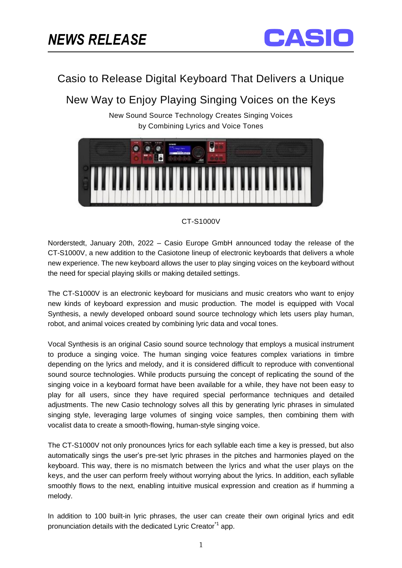

## Casio to Release Digital Keyboard That Delivers a Unique

# New Way to Enjoy Playing Singing Voices on the Keys

New Sound Source Technology Creates Singing Voices by Combining Lyrics and Voice Tones



### CT-S1000V

Norderstedt, January 20th, 2022 – Casio Europe GmbH announced today the release of the CT-S1000V, a new addition to the Casiotone lineup of electronic keyboards that delivers a whole new experience. The new keyboard allows the user to play singing voices on the keyboard without the need for special playing skills or making detailed settings.

The CT-S1000V is an electronic keyboard for musicians and music creators who want to enjoy new kinds of keyboard expression and music production. The model is equipped with Vocal Synthesis, a newly developed onboard sound source technology which lets users play human, robot, and animal voices created by combining lyric data and vocal tones.

Vocal Synthesis is an original Casio sound source technology that employs a musical instrument to produce a singing voice. The human singing voice features complex variations in timbre depending on the lyrics and melody, and it is considered difficult to reproduce with conventional sound source technologies. While products pursuing the concept of replicating the sound of the singing voice in a keyboard format have been available for a while, they have not been easy to play for all users, since they have required special performance techniques and detailed adjustments. The new Casio technology solves all this by generating lyric phrases in simulated singing style, leveraging large volumes of singing voice samples, then combining them with vocalist data to create a smooth-flowing, human-style singing voice.

The CT-S1000V not only pronounces lyrics for each syllable each time a key is pressed, but also automatically sings the user's pre-set lyric phrases in the pitches and harmonies played on the keyboard. This way, there is no mismatch between the lyrics and what the user plays on the keys, and the user can perform freely without worrying about the lyrics. In addition, each syllable smoothly flows to the next, enabling intuitive musical expression and creation as if humming a melody.

In addition to 100 built-in lyric phrases, the user can create their own original lyrics and edit pronunciation details with the dedicated Lyric Creator<sup>\*1</sup> app.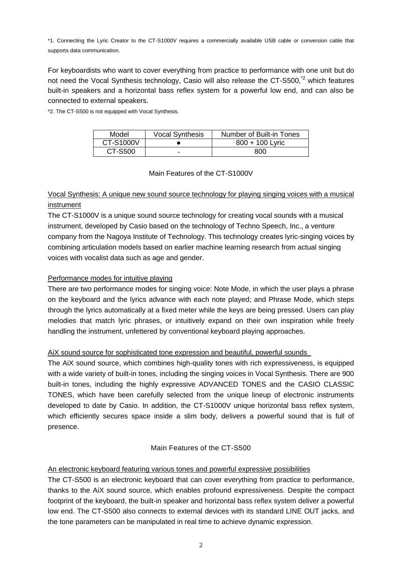\*1. Connecting the Lyric Creator to the CT-S1000V requires a commercially available USB cable or conversion cable that supports data communication.

For keyboardists who want to cover everything from practice to performance with one unit but do not need the Vocal Synthesis technology, Casio will also release the CT-S500,<sup>\*2</sup> which features built-in speakers and a horizontal bass reflex system for a powerful low end, and can also be connected to external speakers.

\*2. The CT-S500 is not equipped with Vocal Synthesis.

| Model     | <b>Vocal Synthesis</b> | Number of Built-in Tones |
|-----------|------------------------|--------------------------|
| CT-S1000V |                        | 800 + 100 Lyric          |
| CT-S500   |                        | 800                      |

#### Main Features of the CT-S1000V

## Vocal Synthesis: A unique new sound source technology for playing singing voices with a musical instrument

The CT-S1000V is a unique sound source technology for creating vocal sounds with a musical instrument, developed by Casio based on the technology of Techno Speech, Inc., a venture company from the Nagoya Institute of Technology. This technology creates lyric-singing voices by combining articulation models based on earlier machine learning research from actual singing voices with vocalist data such as age and gender.

### Performance modes for intuitive playing

There are two performance modes for singing voice: Note Mode, in which the user plays a phrase on the keyboard and the lyrics advance with each note played; and Phrase Mode, which steps through the lyrics automatically at a fixed meter while the keys are being pressed. Users can play melodies that match lyric phrases, or intuitively expand on their own inspiration while freely handling the instrument, unfettered by conventional keyboard playing approaches.

### AiX sound source for sophisticated tone expression and beautiful, powerful sounds

The AiX sound source, which combines high-quality tones with rich expressiveness, is equipped with a wide variety of built-in tones, including the singing voices in Vocal Synthesis. There are 900 built-in tones, including the highly expressive ADVANCED TONES and the CASIO CLASSIC TONES, which have been carefully selected from the unique lineup of electronic instruments developed to date by Casio. In addition, the CT-S1000V unique horizontal bass reflex system, which efficiently secures space inside a slim body, delivers a powerful sound that is full of presence.

### Main Features of the CT-S500

### An electronic keyboard featuring various tones and powerful expressive possibilities

The CT-S500 is an electronic keyboard that can cover everything from practice to performance, thanks to the AiX sound source, which enables profound expressiveness. Despite the compact footprint of the keyboard, the built-in speaker and horizontal bass reflex system deliver a powerful low end. The CT-S500 also connects to external devices with its standard LINE OUT jacks, and the tone parameters can be manipulated in real time to achieve dynamic expression.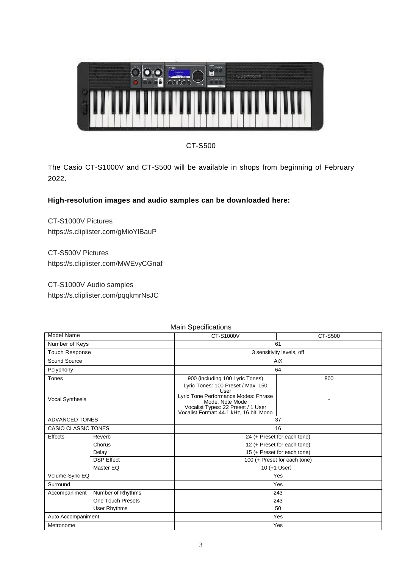

CT-S500

The Casio CT-S1000V and CT-S500 will be available in shops from beginning of February 2022.

## **High-resolution images and audio samples can be downloaded here:**

CT-S1000V Pictures https://s.cliplister.com/gMioYlBauP

CT-S500V Pictures https://s.cliplister.com/MWEvyCGnaf

CT-S1000V Audio samples https://s.cliplister.com/pqqkmrNsJC

| <b>Model Name</b>     |                   | CT-S1000V                                                                                                                                                                              | CT-S500                   |  |  |
|-----------------------|-------------------|----------------------------------------------------------------------------------------------------------------------------------------------------------------------------------------|---------------------------|--|--|
| Number of Keys        |                   | 61                                                                                                                                                                                     |                           |  |  |
| <b>Touch Response</b> |                   |                                                                                                                                                                                        | 3 sensitivity levels, off |  |  |
| Sound Source          |                   | AiX                                                                                                                                                                                    |                           |  |  |
| Polyphony             |                   | 64                                                                                                                                                                                     |                           |  |  |
| Tones                 |                   | 900 (including 100 Lyric Tones)                                                                                                                                                        | 800                       |  |  |
| Vocal Synthesis       |                   | Lyric Tones: 100 Preset / Max. 150<br>User<br>Lyric Tone Performance Modes: Phrase<br>Mode, Note Mode<br>Vocalist Types: 22 Preset / 1 User<br>Vocalist Format: 44.1 kHz, 16 bit, Mono |                           |  |  |
| <b>ADVANCED TONES</b> |                   | 37                                                                                                                                                                                     |                           |  |  |
| CASIO CLASSIC TONES   |                   | 16                                                                                                                                                                                     |                           |  |  |
| <b>Effects</b>        | Reverb            | 24 (+ Preset for each tone)                                                                                                                                                            |                           |  |  |
|                       | Chorus            | 12 (+ Preset for each tone)                                                                                                                                                            |                           |  |  |
|                       | Delay             | 15 (+ Preset for each tone)                                                                                                                                                            |                           |  |  |
|                       | <b>DSP Effect</b> | 100 (+ Preset for each tone)                                                                                                                                                           |                           |  |  |
|                       | Master EQ         | 10 (+1 User)                                                                                                                                                                           |                           |  |  |
| Volume-Sync EQ        |                   | Yes                                                                                                                                                                                    |                           |  |  |
| Surround              |                   | Yes                                                                                                                                                                                    |                           |  |  |
| Accompaniment         | Number of Rhythms | 243                                                                                                                                                                                    |                           |  |  |
|                       | One Touch Presets | 243                                                                                                                                                                                    |                           |  |  |
|                       | User Rhythms      | 50                                                                                                                                                                                     |                           |  |  |
| Auto Accompaniment    |                   | Yes                                                                                                                                                                                    |                           |  |  |
| Metronome             |                   | Yes                                                                                                                                                                                    |                           |  |  |

### Main Specifications